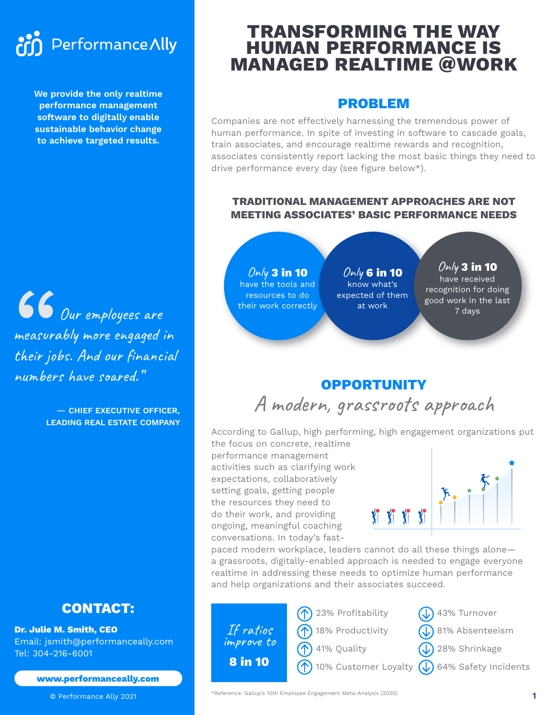# Performance Ally

**We provide the only realtime performance management software to digitally enable sustainable behavior change to achieve targeted results.** 

66<br>measuro<br>their joi<br>number. O Our employees are measurably more engaged in their jobs. And our financial numbers have soared."

> — **CHIEF EXECUTIVE OFFICER, LEADING REAL ESTATE COMPANY**

# **CONTACT:**

**Dr. Julie M. Smith, CEO** Email: jsmith@performanceally.com Tel: 304-216-6001

**www.performanceally.com**

© Performance Ally 2021

# **TRANSFORMING THE WAY HUMAN PERFORMANCE IS MANAGED REALTIME @WORK**

# **PROBLEM**

Companies are not effectively harnessing the tremendous power of human performance. In spite of investing in software to cascade goals, train associates, and encourage realtime rewards and recognition, associates consistently report lacking the most basic things they need to drive performance every day (see figure below\*).

### **TRADITIONAL MANAGEMENT APPROACHES ARE NOT MEETING ASSOCIATES' BASIC PERFORMANCE NEEDS**

Only **3 in 10** have the tools and resources to do their work correctly

Only **6 in 10** know what's expected of them at work

Only **3 in 10** have received recognition for doing good work in the last 7 days

# **OPPORTUNITY** A modern, grassroots approach

According to Gallup, high performing, high engagement organizations put the focus on concrete, realtime

performance management activities such as clarifying work expectations, collaboratively setting goals, getting people the resources they need to do their work, and providing ongoing, meaningful coaching conversations. In today's fast-



paced modern workplace, leaders cannot do all these things alone a grassroots, digitally-enabled approach is needed to engage everyone realtime in addressing these needs to optimize human performance and help organizations and their associates succeed.

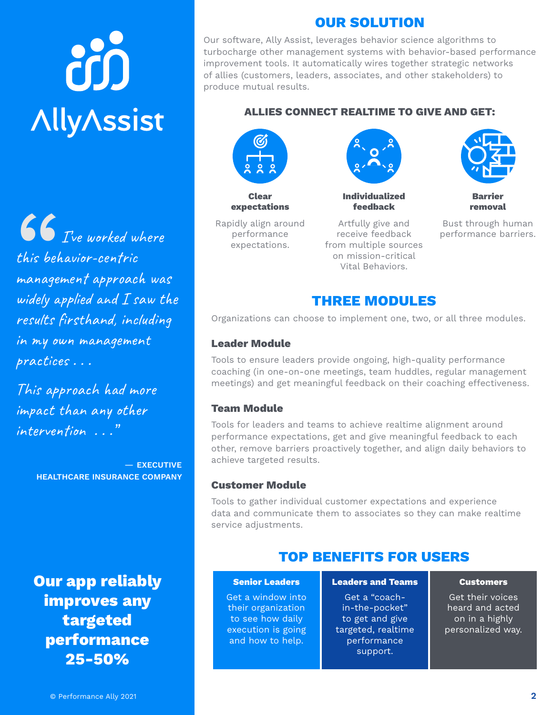# òò **AllyAssist**

66<br>this beh<br>managed<br>widely a **I**  $\bullet$  *I* ve worked where this behavior-centric management approach was widely applied and I saw the results firsthand, including in my own management practices . . .

This approach had more impact than any other intervention . . ."

> — **EXECUTIVE HEALTHCARE INSURANCE COMPANY**

**Our app reliably improves any targeted performance 25-50%**

# **OUR SOLUTION**

Our software, Ally Assist, leverages behavior science algorithms to turbocharge other management systems with behavior-based performance improvement tools. It automatically wires together strategic networks of allies (customers, leaders, associates, and other stakeholders) to produce mutual results.

#### **ALLIES CONNECT REALTIME TO GIVE AND GET:**



**Clear expectations**

Rapidly align around performance expectations.

Artfully give and receive feedback from multiple sources on mission-critical Vital Behaviors.

**Individualized feedback**



**Barrier removal**

Bust through human performance barriers.

# **THREE MODULES**

Organizations can choose to implement one, two, or all three modules.

#### **Leader Module**

Tools to ensure leaders provide ongoing, high-quality performance coaching (in one-on-one meetings, team huddles, regular management meetings) and get meaningful feedback on their coaching effectiveness.

#### **Team Module**

Tools for leaders and teams to achieve realtime alignment around performance expectations, get and give meaningful feedback to each other, remove barriers proactively together, and align daily behaviors to achieve targeted results.

#### **Customer Module**

Tools to gather individual customer expectations and experience data and communicate them to associates so they can make realtime service adjustments.

# **TOP BENEFITS FOR USERS**

#### **Senior Leaders**

Get a window into their organization to see how daily execution is going and how to help.

**Leaders and Teams**

Get a "coachin-the-pocket" to get and give targeted, realtime performance support.

#### **Customers**

Get their voices heard and acted on in a highly personalized way.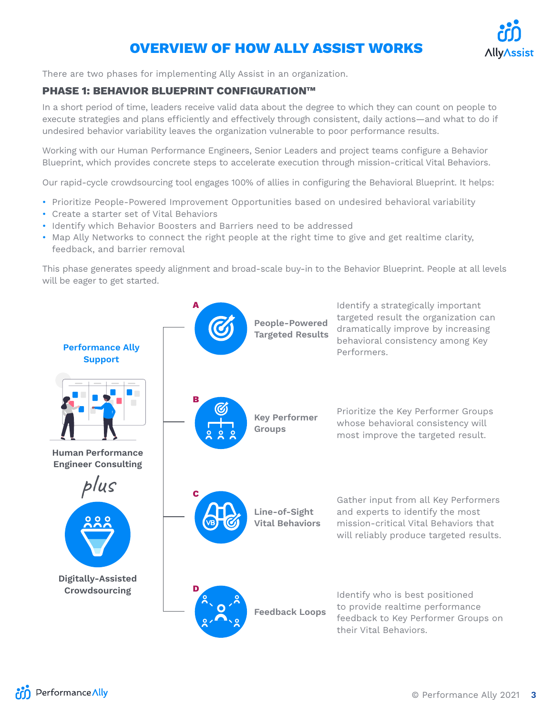# **OVERVIEW OF HOW ALLY ASSIST WORKS**



There are two phases for implementing Ally Assist in an organization.

#### **PHASE 1: BEHAVIOR BLUEPRINT CONFIGURATION™**

In a short period of time, leaders receive valid data about the degree to which they can count on people to execute strategies and plans efficiently and effectively through consistent, daily actions—and what to do if undesired behavior variability leaves the organization vulnerable to poor performance results.

Working with our Human Performance Engineers, Senior Leaders and project teams configure a Behavior Blueprint, which provides concrete steps to accelerate execution through mission-critical Vital Behaviors.

Our rapid-cycle crowdsourcing tool engages 100% of allies in configuring the Behavioral Blueprint. It helps:

- Prioritize People-Powered Improvement Opportunities based on undesired behavioral variability
- Create a starter set of Vital Behaviors
- Identify which Behavior Boosters and Barriers need to be addressed
- Map Ally Networks to connect the right people at the right time to give and get realtime clarity, feedback, and barrier removal

This phase generates speedy alignment and broad-scale buy-in to the Behavior Blueprint. People at all levels will be eager to get started.

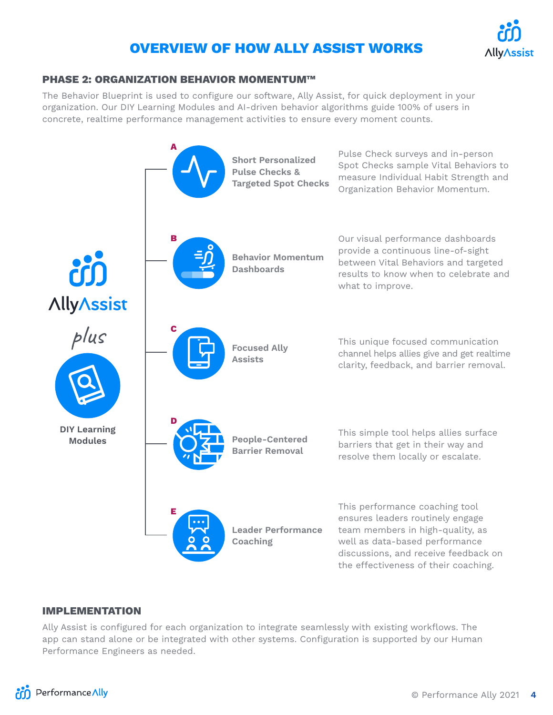# **OVERVIEW OF HOW ALLY ASSIST WORKS**



#### **PHASE 2: ORGANIZATION BEHAVIOR MOMENTUM™**

The Behavior Blueprint is used to configure our software, Ally Assist, for quick deployment in your organization. Our DIY Learning Modules and AI-driven behavior algorithms guide 100% of users in concrete, realtime performance management activities to ensure every moment counts.



#### **IMPLEMENTATION**

Ally Assist is configured for each organization to integrate seamlessly with existing workflows. The app can stand alone or be integrated with other systems. Configuration is supported by our Human Performance Engineers as needed.

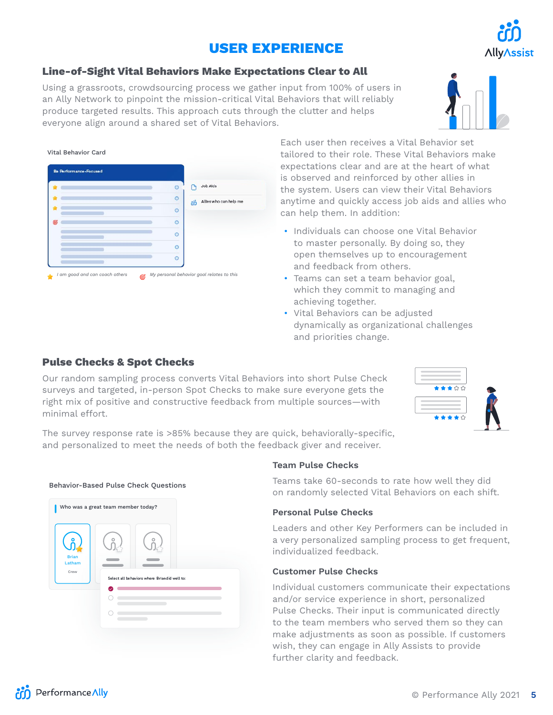# **USER EXPERIENCE**

#### **Line-of-Sight Vital Behaviors Make Expectations Clear to All**

Using a grassroots, crowdsourcing process we gather input from 100% of users in

#### Each user then receives a Vital Behavior set tailored to their role. These Vital Behaviors make expectations clear and are at the heart of what is observed and reinforced by other allies in the system. Users can view their Vital Behaviors anytime and quickly access job aids and allies who can help them. In addition:

- Individuals can choose one Vital Behavior to master personally. By doing so, they open themselves up to encouragement and feedback from others.
- Teams can set a team behavior goal, which they commit to managing and achieving together.
- Vital Behaviors can be adjusted dynamically as organizational challenges and priorities change.

#### **Pulse Checks & Spot Checks**

Behavior-Based Pulse Check Questions

Vital Behavior Card

Our random sampling process converts Vital Behaviors into short Pulse Check surveys and targeted, in-person Spot Checks to make sure everyone gets the right mix of positive and constructive feedback from multiple sources—with minimal effort.

The survey response rate is >85% because they are quick, behaviorally-specific, and personalized to meet the needs of both the feedback giver and receiver. *I am good and can coach others My personal behavior goal relates to this*

#### **Team Pulse Checks**

Teams take 60-seconds to rate how well they did on randomly selected Vital Behaviors on each shift.

#### **Personal Pulse Checks**

Leaders and other Key Performers can be included in a very personalized sampling process to get frequent, individualized feedback.

#### **Customer Pulse Checks**

Individual customers communicate their expectations and/or service experience in short, personalized Pulse Checks. Their input is communicated directly to the team members who served them so they can make adjustments as soon as possible. If customers wish, they can engage in Ally Assists to provide further clarity and feedback.

an Ally Network to pinpoint the mission-critical Vital Behaviors that will reliably produce targeted results. This approach cuts through the clutter and helps everyone align around a shared set of Vital Behaviors.

# Who was a great team member today? ຸ<br>ກໍ Brian Latham Crew C Select all behaviors where Briandid well to:





∧lly∧ssist



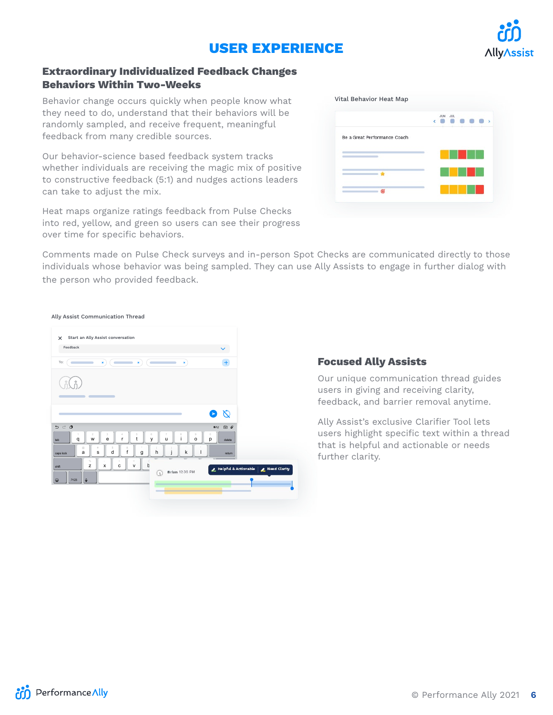# **USER EXPERIENCE**



#### **Extraordinary Individualized Feedback Changes Behaviors Within Two-Weeks**

Behavior change occurs quickly when people know what they need to do, understand that their behaviors will be randomly sampled, and receive frequent, meaningful feedback from many credible sources.

Our behavior-science based feedback system tracks whether individuals are receiving the magic mix of positive to constructive feedback (5:1) and nudges actions leaders can take to adjust the mix.

Heat maps organize ratings feedback from Pulse Checks into red, yellow, and green so users can see their progress over time for specific behaviors.

|                              | JUL<br><b>JUN</b><br>ć | $\rightarrow$ |
|------------------------------|------------------------|---------------|
| Be a Great Performance Coach |                        |               |
|                              |                        |               |
|                              |                        |               |
|                              |                        |               |
| ණ                            |                        |               |

Comments made on Pulse Check surveys and in-person Spot Checks are communicated directly to those individuals whose behavior was being sampled. They can use Ally Assists to engage in further dialog with 75% H the person who provided feedback.

#### Ally Assist Communication ThreadX Start an Ally Assist conversation Feedback  $+$ To: ( กี( กี  $\delta$  $\mathbf{B}$ t 5 。<br>y u 7 i 8 。<br>o o<br>**p** delete q w e r tab a @ s # d \$ f & .<br>g h ( j ) k ' " l return caps lock z % x -  $\stackrel{+}{\rm c}$ v = b / Helpful & As shift .?123  $||\psi$  |

#### **Focused Ally Assists**

Our unique communication thread guides users in giving and receiving clarity, feedback, and barrier removal anytime.

Ally Assist's exclusive Clarifier Tool lets users highlight specific text within a thread that is helpful and actionable or needs further clarity.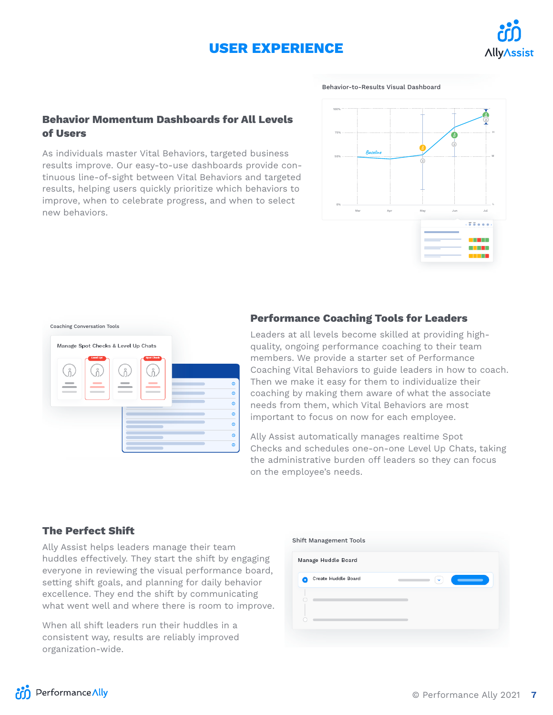# **USER EXPERIENCE**



Behavior-to-Results Visual Dashboard

#### **Behavior Momentum Dashboards for All Levels of Users**

As individuals master Vital Behaviors, targeted business results improve. Our easy-to-use dashboards provide continuous line-of-sight between Vital Behaviors and targeted results, helping users quickly prioritize which behaviors to improve, when to celebrate progress, and when to select new behaviors.





#### **Performance Coaching Tools for Leaders**

important to focus on now for each employee. members. We provide a starter set of Performance Leaders at all levels become skilled at providing highquality, ongoing performance coaching to their team Coaching Vital Behaviors to guide leaders in how to coach. Then we make it easy for them to individualize their coaching by making them aware of what the associate needs from them, which Vital Behaviors are most

Ally Assist automatically manages realtime Spot Checks and schedules one-on-one Level Up Chats, taking the administrative burden off leaders so they can focus on the employee's needs.

#### **The Perfect Shift**

Ally Assist helps leaders manage their team huddles effectively. They start the shift by engaging everyone in reviewing the visual performance board, setting shift goals, and planning for daily behavior excellence. They end the shift by communicating what went well and where there is room to improve.

When all shift leaders run their huddles in a consistent way, results are reliably improved organization-wide.

| Manage Huddle Board |              |
|---------------------|--------------|
| Create Huddle Board | $\checkmark$ |
|                     |              |
|                     |              |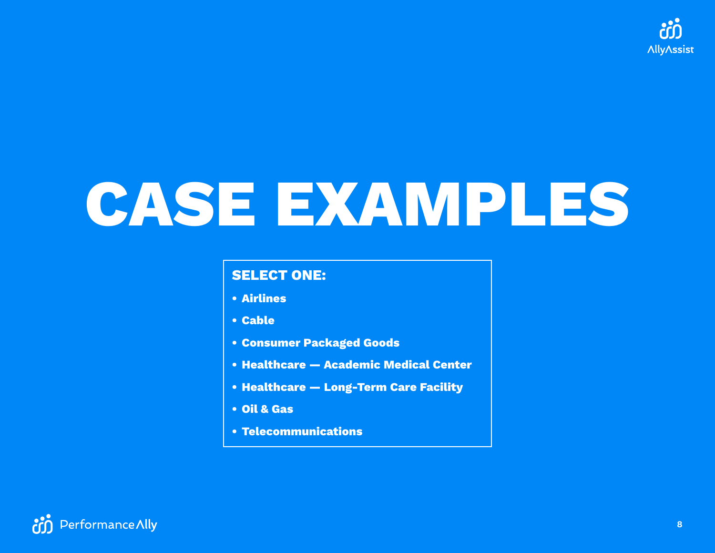

# **CASE EXAMPLES**

# **SELECT ONE:**

- **• [Airlines](#page-8-0)**
- **• [Cable](#page-9-0)**
- **• [Consumer Packaged Goods](#page-10-0)**
- **• [Healthcare Academic Medical Center](#page-11-0)**
- **• [Healthcare Long-Term Care Facility](#page-12-0)**
- **• [Oil & Gas](#page-13-0)**
- **• [Telecommunications](#page-14-0)**

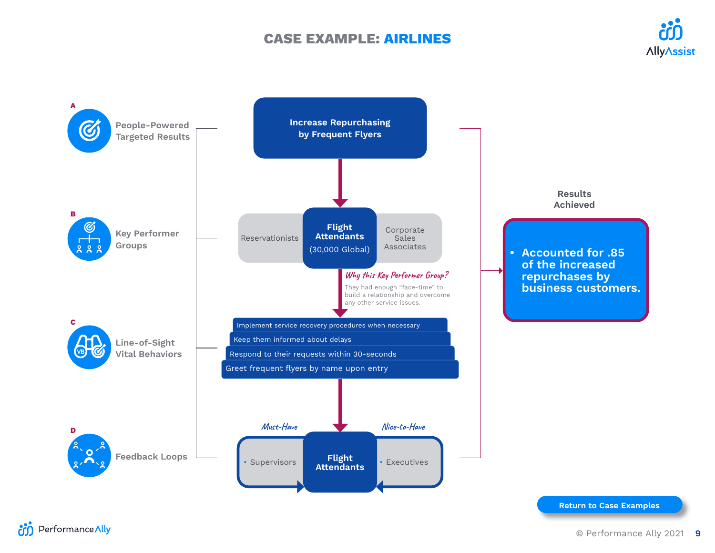## **CASE EXAMPLE: AIRLINES**



<span id="page-8-0"></span>

**Return to Case Examples**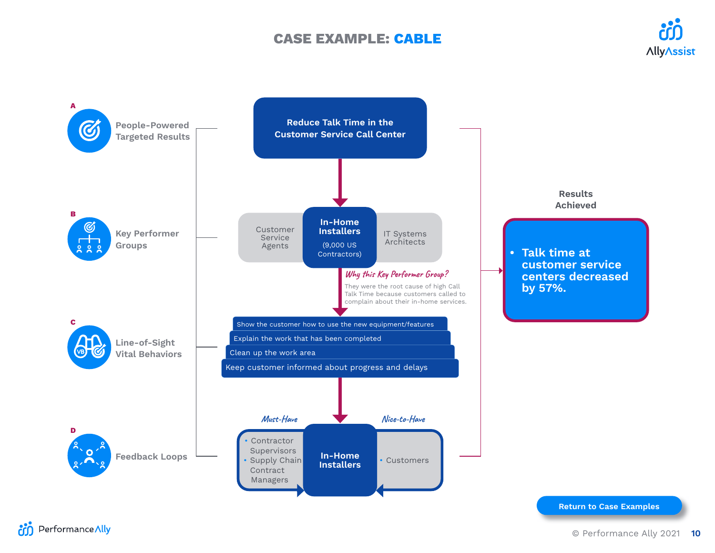## **CASE EXAMPLE: CABLE**



<span id="page-9-0"></span>

**Return to Case Examples**

**Performance Ally**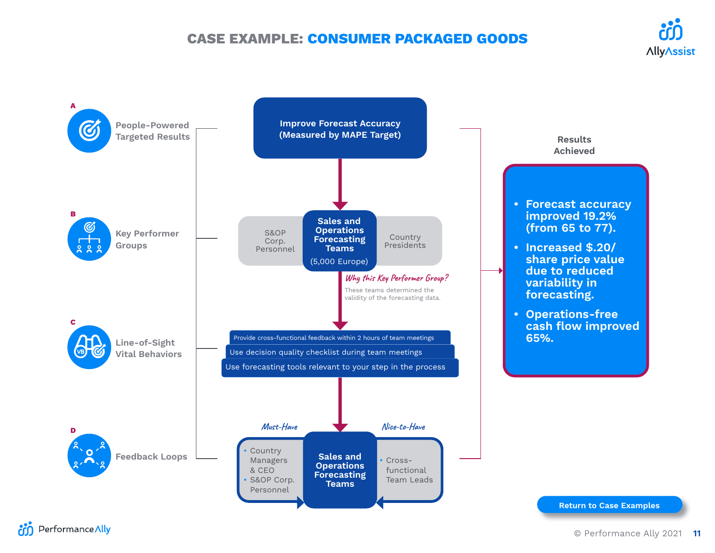# **CASE EXAMPLE: CONSUMER PACKAGED GOODS**

<span id="page-10-0"></span>

**An** Performance Ally

**AllyAssist**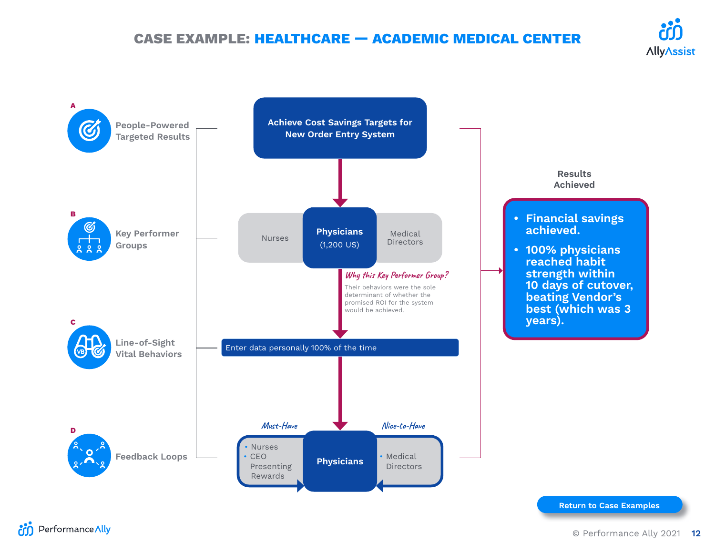# **CASE EXAMPLE: HEALTHCARE — ACADEMIC MEDICAL CENTER**

<span id="page-11-0"></span>

**Return to Case Examples**

**An** Performance Ally

**AllyAssist**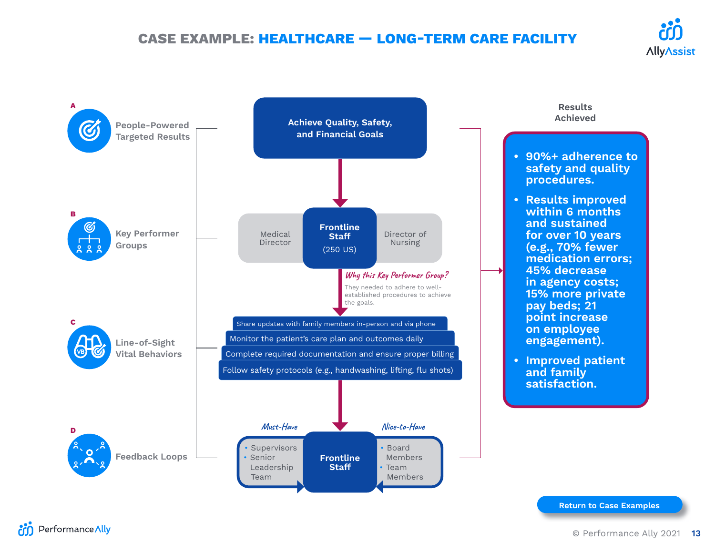# **CASE EXAMPLE: HEALTHCARE — LONG-TERM CARE FACILITY**



<span id="page-12-0"></span>

**Return to Case Examples**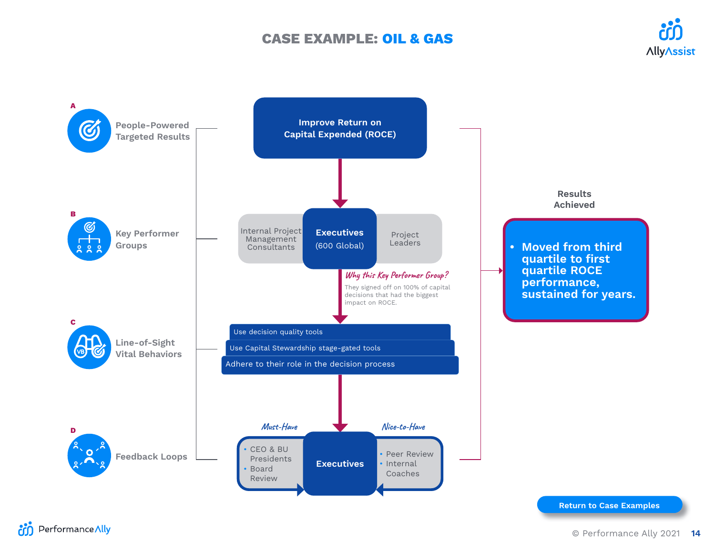## **CASE EXAMPLE: OIL & GAS**



<span id="page-13-0"></span>

**Return to Case Examples**